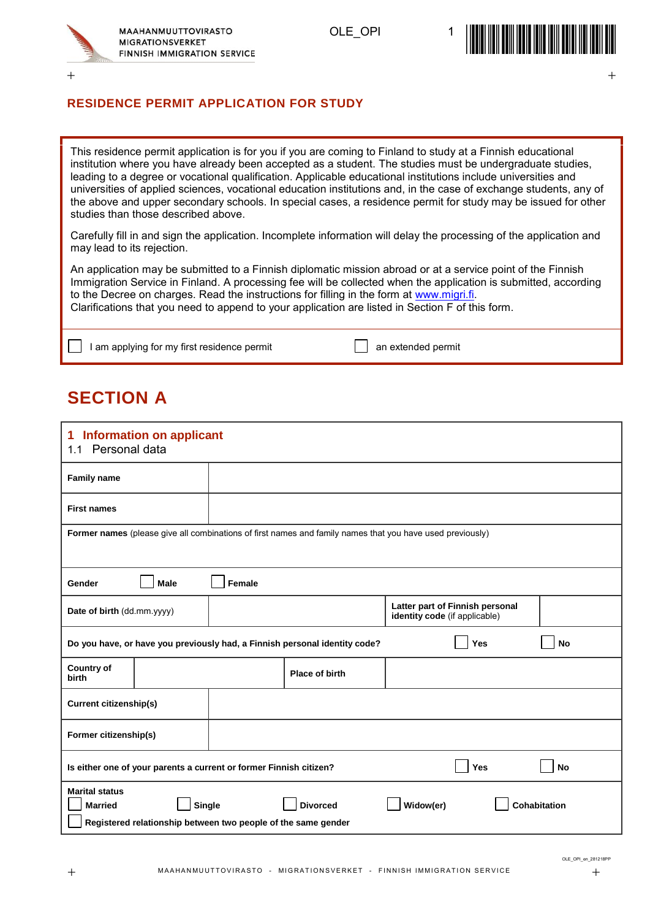

OLE OPI

 $+$  +  $+$  +  $+$  +  $+$  +  $+$  +  $+$  +  $+$  +  $+$  +  $+$  +  $+$  +  $+$  +  $+$  +  $+$  +  $+$  +  $+$  +  $+$  +  $+$  +  $+$  +  $+$  +  $+$  +  $+$  +  $+$  +  $+$  +  $+$  +  $+$  +  $+$  +  $+$  +  $+$  +  $+$  +  $+$  +  $+$  +  $+$  +  $+$  +  $+$  +  $+$  +  $+$  +  $+$  +



#### **RESIDENCE PERMIT APPLICATION FOR STUDY**

This residence permit application is for you if you are coming to Finland to study at a Finnish educational institution where you have already been accepted as a student. The studies must be undergraduate studies, leading to a degree or vocational qualification. Applicable educational institutions include universities and universities of applied sciences, vocational education institutions and, in the case of exchange students, any of the above and upper secondary schools. In special cases, a residence permit for study may be issued for other studies than those described above.

Carefully fill in and sign the application. Incomplete information will delay the processing of the application and may lead to its rejection.

An application may be submitted to a Finnish diplomatic mission abroad or at a service point of the Finnish Immigration Service in Finland. A processing fee will be collected when the application is submitted, according to the Decree on charges. Read the instructions for filling in the form at [www.migri.fi.](http://www.migri.fi/) Clarifications that you need to append to your application are listed in Section F of this form.

I am applying for my first residence permit and an extended permit

### **SECTION A**

# **1 Information on applicant** 1.1 Personal data **Family name First names Former names** (please give all combinations of first names and family names that you have used previously) **Gender Male Female Date of birth** (dd.mm.yyyy) **Latter part of Finnish personal Latter part of Finnish personal identity code** (if applicable) **Do you have, or have you previously had, a Finnish personal identity code? Yes No Country of birth Place of birth Current citizenship(s) Former citizenship(s) Is either one of your parents a current or former Finnish citizen? Wes NoProperty No Marital status Married Single Divorced Widow(er) Cohabitation Registered relationship between two people of the same gender**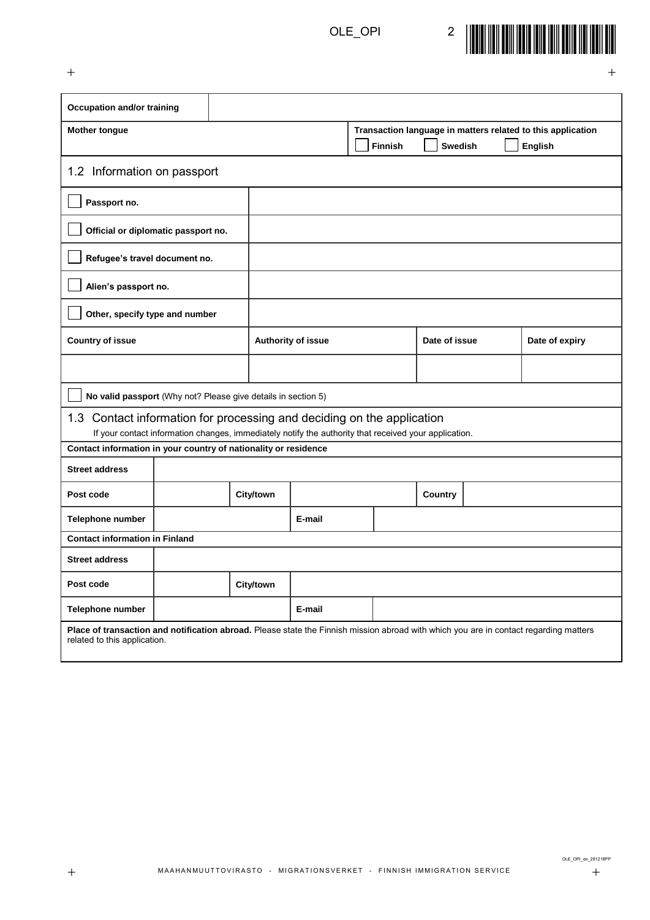

| <b>Occupation and/or training</b>                                                                                                                                               |  |                    |           |        |               |                |                |  |                                                             |
|---------------------------------------------------------------------------------------------------------------------------------------------------------------------------------|--|--------------------|-----------|--------|---------------|----------------|----------------|--|-------------------------------------------------------------|
| <b>Mother tongue</b>                                                                                                                                                            |  |                    |           |        |               |                |                |  | Transaction language in matters related to this application |
|                                                                                                                                                                                 |  |                    |           |        |               | <b>Finnish</b> | <b>Swedish</b> |  | English                                                     |
| 1.2 Information on passport                                                                                                                                                     |  |                    |           |        |               |                |                |  |                                                             |
| Passport no.                                                                                                                                                                    |  |                    |           |        |               |                |                |  |                                                             |
| Official or diplomatic passport no.                                                                                                                                             |  |                    |           |        |               |                |                |  |                                                             |
| Refugee's travel document no.                                                                                                                                                   |  |                    |           |        |               |                |                |  |                                                             |
| Alien's passport no.                                                                                                                                                            |  |                    |           |        |               |                |                |  |                                                             |
| Other, specify type and number                                                                                                                                                  |  |                    |           |        |               |                |                |  |                                                             |
| <b>Country of issue</b>                                                                                                                                                         |  | Authority of issue |           |        | Date of issue |                | Date of expiry |  |                                                             |
|                                                                                                                                                                                 |  |                    |           |        |               |                |                |  |                                                             |
| No valid passport (Why not? Please give details in section 5)                                                                                                                   |  |                    |           |        |               |                |                |  |                                                             |
| 1.3 Contact information for processing and deciding on the application<br>If your contact information changes, immediately notify the authority that received your application. |  |                    |           |        |               |                |                |  |                                                             |
| Contact information in your country of nationality or residence                                                                                                                 |  |                    |           |        |               |                |                |  |                                                             |
| <b>Street address</b>                                                                                                                                                           |  |                    |           |        |               |                |                |  |                                                             |
| Post code                                                                                                                                                                       |  |                    | City/town |        |               |                | Country        |  |                                                             |
| Telephone number                                                                                                                                                                |  |                    |           | E-mail |               |                |                |  |                                                             |
| <b>Contact information in Finland</b>                                                                                                                                           |  |                    |           |        |               |                |                |  |                                                             |
| <b>Street address</b>                                                                                                                                                           |  |                    |           |        |               |                |                |  |                                                             |
| Post code                                                                                                                                                                       |  |                    | City/town |        |               |                |                |  |                                                             |
| Telephone number                                                                                                                                                                |  |                    |           | E-mail |               |                |                |  |                                                             |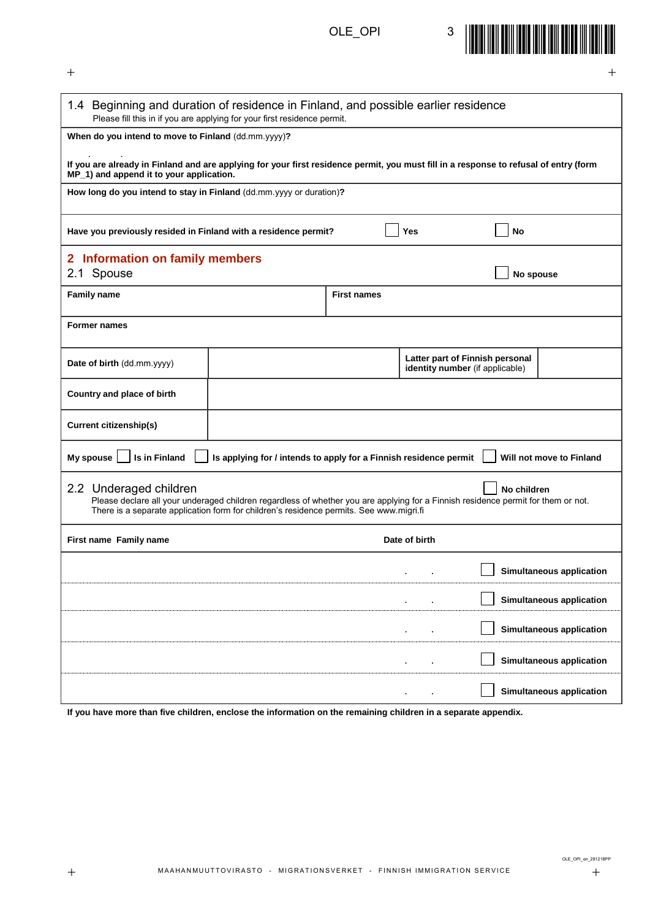

| 1.4 Beginning and duration of residence in Finland, and possible earlier residence                                                                                                | Please fill this in if you are applying for your first residence permit.                                                          |                    |                                        |                                 |                          |
|-----------------------------------------------------------------------------------------------------------------------------------------------------------------------------------|-----------------------------------------------------------------------------------------------------------------------------------|--------------------|----------------------------------------|---------------------------------|--------------------------|
| When do you intend to move to Finland (dd.mm.yyyy)?                                                                                                                               |                                                                                                                                   |                    |                                        |                                 |                          |
|                                                                                                                                                                                   |                                                                                                                                   |                    |                                        |                                 |                          |
| If you are already in Finland and are applying for your first residence permit, you must fill in a response to refusal of entry (form<br>MP_1) and append it to your application. |                                                                                                                                   |                    |                                        |                                 |                          |
| How long do you intend to stay in Finland (dd.mm.yyyy or duration)?                                                                                                               |                                                                                                                                   |                    |                                        |                                 |                          |
|                                                                                                                                                                                   |                                                                                                                                   |                    |                                        |                                 |                          |
| Have you previously resided in Finland with a residence permit?                                                                                                                   |                                                                                                                                   |                    | Yes                                    | <b>No</b>                       |                          |
| 2 Information on family members                                                                                                                                                   |                                                                                                                                   |                    |                                        |                                 |                          |
| 2.1 Spouse                                                                                                                                                                        |                                                                                                                                   |                    |                                        | No spouse                       |                          |
| <b>Family name</b>                                                                                                                                                                |                                                                                                                                   | <b>First names</b> |                                        |                                 |                          |
|                                                                                                                                                                                   |                                                                                                                                   |                    |                                        |                                 |                          |
| <b>Former names</b>                                                                                                                                                               |                                                                                                                                   |                    |                                        |                                 |                          |
|                                                                                                                                                                                   |                                                                                                                                   |                    |                                        |                                 |                          |
| Date of birth (dd.mm.yyyy)                                                                                                                                                        |                                                                                                                                   |                    |                                        | Latter part of Finnish personal |                          |
|                                                                                                                                                                                   |                                                                                                                                   |                    | <b>identity number</b> (if applicable) |                                 |                          |
| Country and place of birth                                                                                                                                                        |                                                                                                                                   |                    |                                        |                                 |                          |
| <b>Current citizenship(s)</b>                                                                                                                                                     |                                                                                                                                   |                    |                                        |                                 |                          |
|                                                                                                                                                                                   |                                                                                                                                   |                    |                                        |                                 |                          |
| My spouse<br>Is in Finland                                                                                                                                                        | Is applying for / intends to apply for a Finnish residence permit                                                                 |                    |                                        |                                 | Will not move to Finland |
| 2.2 Underaged children                                                                                                                                                            |                                                                                                                                   |                    |                                        | No children                     |                          |
|                                                                                                                                                                                   | Please declare all your underaged children regardless of whether you are applying for a Finnish residence permit for them or not. |                    |                                        |                                 |                          |
|                                                                                                                                                                                   | There is a separate application form for children's residence permits. See www.migri.fi                                           |                    |                                        |                                 |                          |
| First name Family name                                                                                                                                                            |                                                                                                                                   |                    | Date of birth                          |                                 |                          |
|                                                                                                                                                                                   |                                                                                                                                   |                    |                                        |                                 | Simultaneous application |
|                                                                                                                                                                                   |                                                                                                                                   |                    |                                        |                                 |                          |
|                                                                                                                                                                                   |                                                                                                                                   |                    |                                        |                                 | Simultaneous application |
|                                                                                                                                                                                   |                                                                                                                                   |                    |                                        |                                 | Simultaneous application |
|                                                                                                                                                                                   |                                                                                                                                   |                    |                                        |                                 | Simultaneous application |
|                                                                                                                                                                                   |                                                                                                                                   |                    |                                        |                                 | Simultaneous application |
|                                                                                                                                                                                   |                                                                                                                                   |                    |                                        |                                 |                          |

**If you have more than five children, enclose the information on the remaining children in a separate appendix.**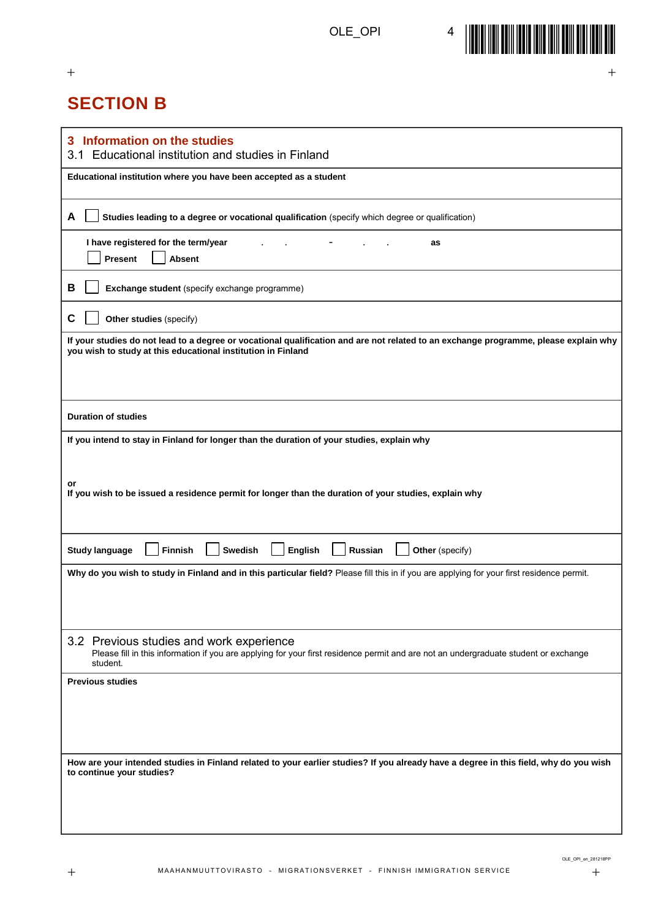$+$  +  $+$  +  $+$  +  $+$  +  $+$  +  $+$  +  $+$  +  $+$  +  $+$  +  $+$  +  $+$  +  $+$  +  $+$  +  $+$  +  $+$  +  $+$  +  $+$  +  $+$  +  $+$  +  $+$  +  $+$  +  $+$  +  $+$  +  $+$  +  $+$  +  $+$  +  $+$  +  $+$  +  $+$  +  $+$  +  $+$  +  $+$  +  $+$  +  $+$  +  $+$  +  $+$  +  $+$  +



## **SECTION B**

| Information on the studies<br>3<br>Educational institution and studies in Finland<br>3.1                                                                                                             |
|------------------------------------------------------------------------------------------------------------------------------------------------------------------------------------------------------|
| Educational institution where you have been accepted as a student                                                                                                                                    |
| A<br>Studies leading to a degree or vocational qualification (specify which degree or qualification)                                                                                                 |
| I have registered for the term/year<br>as<br>Present<br><b>Absent</b>                                                                                                                                |
| В<br>Exchange student (specify exchange programme)                                                                                                                                                   |
| C<br>Other studies (specify)                                                                                                                                                                         |
| If your studies do not lead to a degree or vocational qualification and are not related to an exchange programme, please explain why<br>you wish to study at this educational institution in Finland |
| <b>Duration of studies</b>                                                                                                                                                                           |
| If you intend to stay in Finland for longer than the duration of your studies, explain why<br>or                                                                                                     |
| If you wish to be issued a residence permit for longer than the duration of your studies, explain why                                                                                                |
| <b>Swedish</b><br>English<br>Other (specify)<br><b>Study language</b><br><b>Finnish</b><br><b>Russian</b>                                                                                            |
| Why do you wish to study in Finland and in this particular field? Please fill this in if you are applying for your first residence permit.                                                           |
| 3.2 Previous studies and work experience<br>Please fill in this information if you are applying for your first residence permit and are not an undergraduate student or exchange<br>student.         |
| <b>Previous studies</b>                                                                                                                                                                              |
| How are your intended studies in Finland related to your earlier studies? If you already have a degree in this field, why do you wish<br>to continue your studies?                                   |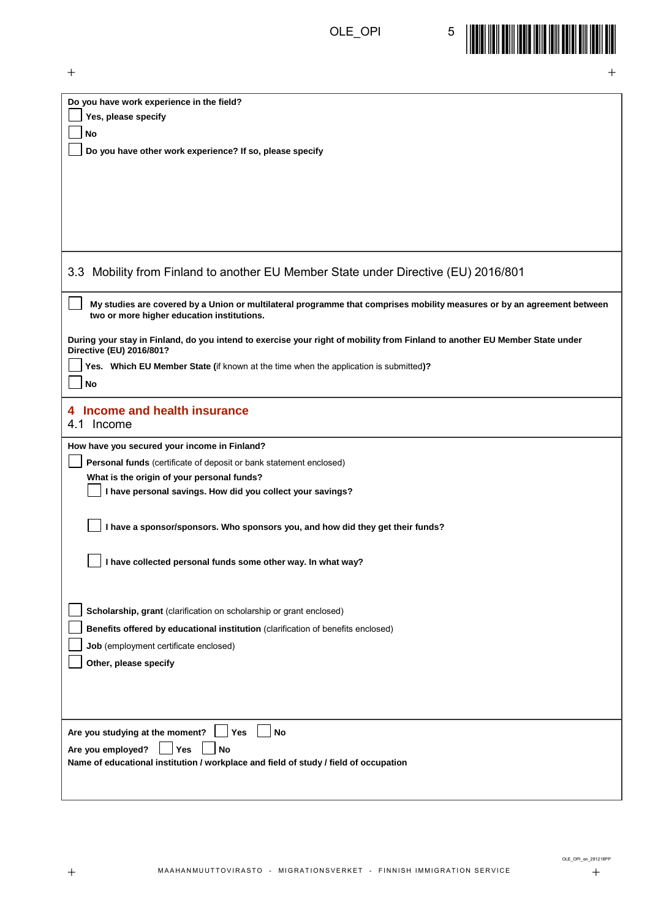

| Yes, please specify<br><b>No</b><br>Do you have other work experience? If so, please specify<br>Mobility from Finland to another EU Member State under Directive (EU) 2016/801<br>My studies are covered by a Union or multilateral programme that comprises mobility measures or by an agreement between<br>two or more higher education institutions.<br>Yes. Which EU Member State (if known at the time when the application is submitted)?<br><b>No</b><br>4 Income and health insurance<br>Personal funds (certificate of deposit or bank statement enclosed)<br>What is the origin of your personal funds?<br>I have personal savings. How did you collect your savings?<br>I have a sponsor/sponsors. Who sponsors you, and how did they get their funds?<br>I have collected personal funds some other way. In what way?<br>Scholarship, grant (clarification on scholarship or grant enclosed)<br>Benefits offered by educational institution (clarification of benefits enclosed)<br>Job (employment certificate enclosed)<br>Other, please specify<br>Are you studying at the moment?<br><b>No</b><br>Yes<br>Are you employed?<br>Yes<br>No<br>Name of educational institution / workplace and field of study / field of occupation | $\hspace{0.1mm} +$<br>$^{+}$                                                                                                                            |
|-------------------------------------------------------------------------------------------------------------------------------------------------------------------------------------------------------------------------------------------------------------------------------------------------------------------------------------------------------------------------------------------------------------------------------------------------------------------------------------------------------------------------------------------------------------------------------------------------------------------------------------------------------------------------------------------------------------------------------------------------------------------------------------------------------------------------------------------------------------------------------------------------------------------------------------------------------------------------------------------------------------------------------------------------------------------------------------------------------------------------------------------------------------------------------------------------------------------------------------------------|---------------------------------------------------------------------------------------------------------------------------------------------------------|
|                                                                                                                                                                                                                                                                                                                                                                                                                                                                                                                                                                                                                                                                                                                                                                                                                                                                                                                                                                                                                                                                                                                                                                                                                                                 | Do you have work experience in the field?                                                                                                               |
|                                                                                                                                                                                                                                                                                                                                                                                                                                                                                                                                                                                                                                                                                                                                                                                                                                                                                                                                                                                                                                                                                                                                                                                                                                                 |                                                                                                                                                         |
|                                                                                                                                                                                                                                                                                                                                                                                                                                                                                                                                                                                                                                                                                                                                                                                                                                                                                                                                                                                                                                                                                                                                                                                                                                                 |                                                                                                                                                         |
|                                                                                                                                                                                                                                                                                                                                                                                                                                                                                                                                                                                                                                                                                                                                                                                                                                                                                                                                                                                                                                                                                                                                                                                                                                                 |                                                                                                                                                         |
|                                                                                                                                                                                                                                                                                                                                                                                                                                                                                                                                                                                                                                                                                                                                                                                                                                                                                                                                                                                                                                                                                                                                                                                                                                                 |                                                                                                                                                         |
|                                                                                                                                                                                                                                                                                                                                                                                                                                                                                                                                                                                                                                                                                                                                                                                                                                                                                                                                                                                                                                                                                                                                                                                                                                                 |                                                                                                                                                         |
|                                                                                                                                                                                                                                                                                                                                                                                                                                                                                                                                                                                                                                                                                                                                                                                                                                                                                                                                                                                                                                                                                                                                                                                                                                                 |                                                                                                                                                         |
|                                                                                                                                                                                                                                                                                                                                                                                                                                                                                                                                                                                                                                                                                                                                                                                                                                                                                                                                                                                                                                                                                                                                                                                                                                                 |                                                                                                                                                         |
|                                                                                                                                                                                                                                                                                                                                                                                                                                                                                                                                                                                                                                                                                                                                                                                                                                                                                                                                                                                                                                                                                                                                                                                                                                                 |                                                                                                                                                         |
|                                                                                                                                                                                                                                                                                                                                                                                                                                                                                                                                                                                                                                                                                                                                                                                                                                                                                                                                                                                                                                                                                                                                                                                                                                                 | 3.3                                                                                                                                                     |
|                                                                                                                                                                                                                                                                                                                                                                                                                                                                                                                                                                                                                                                                                                                                                                                                                                                                                                                                                                                                                                                                                                                                                                                                                                                 |                                                                                                                                                         |
|                                                                                                                                                                                                                                                                                                                                                                                                                                                                                                                                                                                                                                                                                                                                                                                                                                                                                                                                                                                                                                                                                                                                                                                                                                                 |                                                                                                                                                         |
|                                                                                                                                                                                                                                                                                                                                                                                                                                                                                                                                                                                                                                                                                                                                                                                                                                                                                                                                                                                                                                                                                                                                                                                                                                                 | During your stay in Finland, do you intend to exercise your right of mobility from Finland to another EU Member State under<br>Directive (EU) 2016/801? |
|                                                                                                                                                                                                                                                                                                                                                                                                                                                                                                                                                                                                                                                                                                                                                                                                                                                                                                                                                                                                                                                                                                                                                                                                                                                 |                                                                                                                                                         |
|                                                                                                                                                                                                                                                                                                                                                                                                                                                                                                                                                                                                                                                                                                                                                                                                                                                                                                                                                                                                                                                                                                                                                                                                                                                 |                                                                                                                                                         |
|                                                                                                                                                                                                                                                                                                                                                                                                                                                                                                                                                                                                                                                                                                                                                                                                                                                                                                                                                                                                                                                                                                                                                                                                                                                 |                                                                                                                                                         |
|                                                                                                                                                                                                                                                                                                                                                                                                                                                                                                                                                                                                                                                                                                                                                                                                                                                                                                                                                                                                                                                                                                                                                                                                                                                 | 4.1 Income                                                                                                                                              |
|                                                                                                                                                                                                                                                                                                                                                                                                                                                                                                                                                                                                                                                                                                                                                                                                                                                                                                                                                                                                                                                                                                                                                                                                                                                 | How have you secured your income in Finland?                                                                                                            |
|                                                                                                                                                                                                                                                                                                                                                                                                                                                                                                                                                                                                                                                                                                                                                                                                                                                                                                                                                                                                                                                                                                                                                                                                                                                 |                                                                                                                                                         |
|                                                                                                                                                                                                                                                                                                                                                                                                                                                                                                                                                                                                                                                                                                                                                                                                                                                                                                                                                                                                                                                                                                                                                                                                                                                 |                                                                                                                                                         |
|                                                                                                                                                                                                                                                                                                                                                                                                                                                                                                                                                                                                                                                                                                                                                                                                                                                                                                                                                                                                                                                                                                                                                                                                                                                 |                                                                                                                                                         |
|                                                                                                                                                                                                                                                                                                                                                                                                                                                                                                                                                                                                                                                                                                                                                                                                                                                                                                                                                                                                                                                                                                                                                                                                                                                 |                                                                                                                                                         |
|                                                                                                                                                                                                                                                                                                                                                                                                                                                                                                                                                                                                                                                                                                                                                                                                                                                                                                                                                                                                                                                                                                                                                                                                                                                 |                                                                                                                                                         |
|                                                                                                                                                                                                                                                                                                                                                                                                                                                                                                                                                                                                                                                                                                                                                                                                                                                                                                                                                                                                                                                                                                                                                                                                                                                 |                                                                                                                                                         |
|                                                                                                                                                                                                                                                                                                                                                                                                                                                                                                                                                                                                                                                                                                                                                                                                                                                                                                                                                                                                                                                                                                                                                                                                                                                 |                                                                                                                                                         |
|                                                                                                                                                                                                                                                                                                                                                                                                                                                                                                                                                                                                                                                                                                                                                                                                                                                                                                                                                                                                                                                                                                                                                                                                                                                 |                                                                                                                                                         |
|                                                                                                                                                                                                                                                                                                                                                                                                                                                                                                                                                                                                                                                                                                                                                                                                                                                                                                                                                                                                                                                                                                                                                                                                                                                 |                                                                                                                                                         |
|                                                                                                                                                                                                                                                                                                                                                                                                                                                                                                                                                                                                                                                                                                                                                                                                                                                                                                                                                                                                                                                                                                                                                                                                                                                 |                                                                                                                                                         |
|                                                                                                                                                                                                                                                                                                                                                                                                                                                                                                                                                                                                                                                                                                                                                                                                                                                                                                                                                                                                                                                                                                                                                                                                                                                 |                                                                                                                                                         |
|                                                                                                                                                                                                                                                                                                                                                                                                                                                                                                                                                                                                                                                                                                                                                                                                                                                                                                                                                                                                                                                                                                                                                                                                                                                 |                                                                                                                                                         |
|                                                                                                                                                                                                                                                                                                                                                                                                                                                                                                                                                                                                                                                                                                                                                                                                                                                                                                                                                                                                                                                                                                                                                                                                                                                 |                                                                                                                                                         |
|                                                                                                                                                                                                                                                                                                                                                                                                                                                                                                                                                                                                                                                                                                                                                                                                                                                                                                                                                                                                                                                                                                                                                                                                                                                 |                                                                                                                                                         |
|                                                                                                                                                                                                                                                                                                                                                                                                                                                                                                                                                                                                                                                                                                                                                                                                                                                                                                                                                                                                                                                                                                                                                                                                                                                 |                                                                                                                                                         |
|                                                                                                                                                                                                                                                                                                                                                                                                                                                                                                                                                                                                                                                                                                                                                                                                                                                                                                                                                                                                                                                                                                                                                                                                                                                 |                                                                                                                                                         |
|                                                                                                                                                                                                                                                                                                                                                                                                                                                                                                                                                                                                                                                                                                                                                                                                                                                                                                                                                                                                                                                                                                                                                                                                                                                 |                                                                                                                                                         |
|                                                                                                                                                                                                                                                                                                                                                                                                                                                                                                                                                                                                                                                                                                                                                                                                                                                                                                                                                                                                                                                                                                                                                                                                                                                 |                                                                                                                                                         |
|                                                                                                                                                                                                                                                                                                                                                                                                                                                                                                                                                                                                                                                                                                                                                                                                                                                                                                                                                                                                                                                                                                                                                                                                                                                 |                                                                                                                                                         |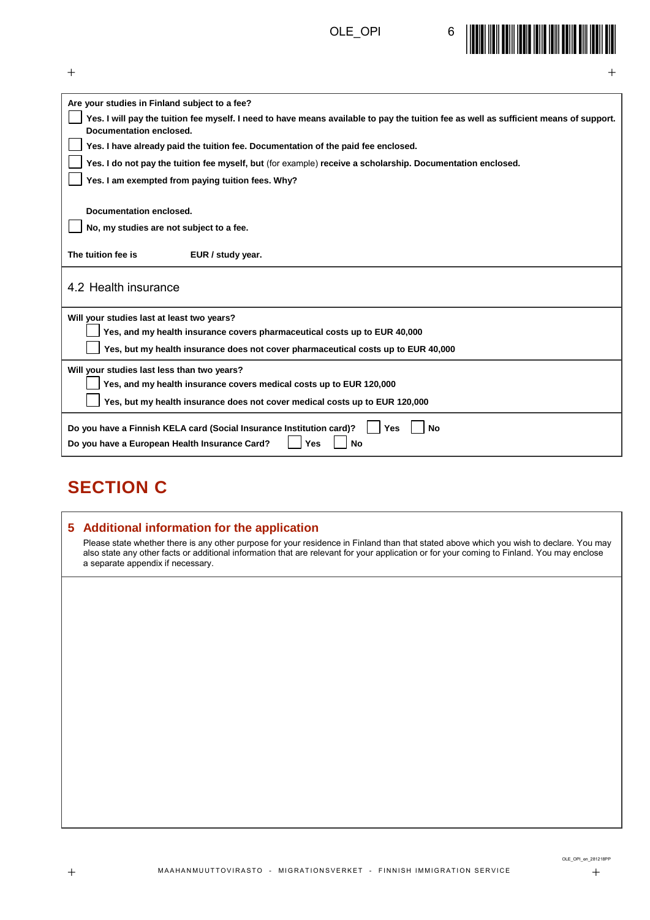

| $^{+}$<br>┿                                                                                                                                                      |
|------------------------------------------------------------------------------------------------------------------------------------------------------------------|
| Are your studies in Finland subject to a fee?                                                                                                                    |
| Yes. I will pay the tuition fee myself. I need to have means available to pay the tuition fee as well as sufficient means of support.<br>Documentation enclosed. |
| Yes. I have already paid the tuition fee. Documentation of the paid fee enclosed.                                                                                |
| Yes. I do not pay the tuition fee myself, but (for example) receive a scholarship. Documentation enclosed.                                                       |
| Yes. I am exempted from paying tuition fees. Why?                                                                                                                |
|                                                                                                                                                                  |
| Documentation enclosed.                                                                                                                                          |
| No, my studies are not subject to a fee.                                                                                                                         |
| The tuition fee is<br>EUR / study year.                                                                                                                          |
| 4.2 Health insurance                                                                                                                                             |
| Will your studies last at least two years?                                                                                                                       |
| Yes, and my health insurance covers pharmaceutical costs up to EUR 40,000                                                                                        |
| Yes, but my health insurance does not cover pharmaceutical costs up to EUR 40,000                                                                                |
| Will your studies last less than two years?                                                                                                                      |
| Yes, and my health insurance covers medical costs up to EUR 120,000                                                                                              |
| Yes, but my health insurance does not cover medical costs up to EUR 120,000                                                                                      |
| Do you have a Finnish KELA card (Social Insurance Institution card)?<br><b>No</b><br>Yes<br>Do you have a European Health Insurance Card?<br><b>No</b><br>Yes    |
|                                                                                                                                                                  |

## **SECTION C**

#### **5 Additional information for the application**

Please state whether there is any other purpose for your residence in Finland than that stated above which you wish to declare. You may also state any other facts or additional information that are relevant for your application or for your coming to Finland. You may enclose a separate appendix if necessary.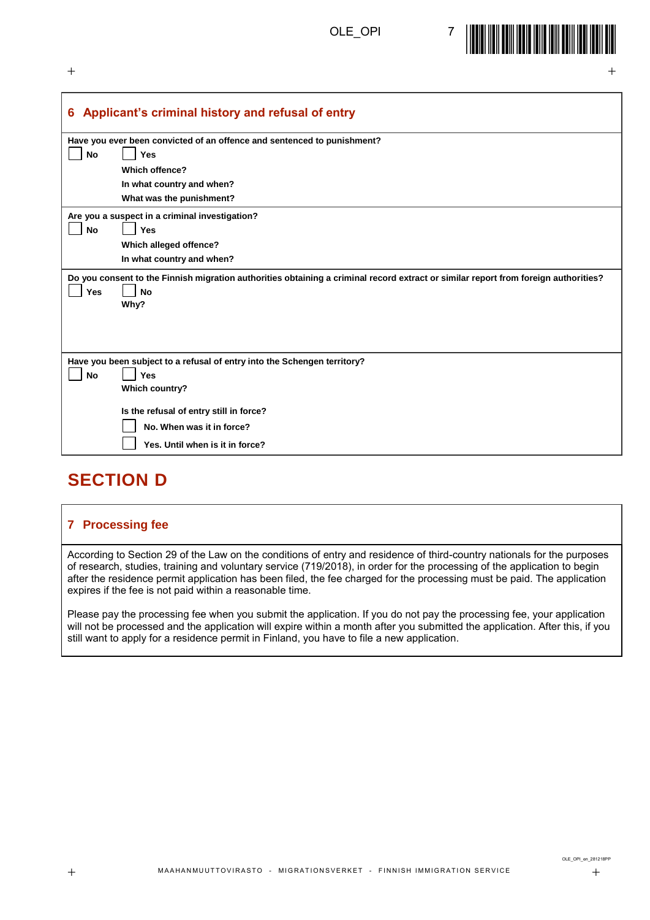

 $+$  +  $+$  +  $+$  +  $+$  +  $+$  +  $+$  +  $+$  +  $+$  +  $+$  +  $+$  +  $+$  +  $+$  +  $+$  +  $+$  +  $+$  +  $+$  +  $+$  +  $+$  +  $+$  +  $+$  +  $+$  +  $+$  +  $+$  +  $+$  +  $+$  +  $+$  +  $+$  +  $+$  +  $+$  +  $+$  +  $+$  +  $+$  +  $+$  +  $+$  +  $+$  +  $+$  +  $+$  +

|           | 6 Applicant's criminal history and refusal of entry                                                                                 |
|-----------|-------------------------------------------------------------------------------------------------------------------------------------|
|           |                                                                                                                                     |
|           | Have you ever been convicted of an offence and sentenced to punishment?                                                             |
| <b>No</b> | Yes                                                                                                                                 |
|           | <b>Which offence?</b>                                                                                                               |
|           | In what country and when?                                                                                                           |
|           | What was the punishment?                                                                                                            |
|           | Are you a suspect in a criminal investigation?                                                                                      |
| <b>No</b> | <b>Yes</b>                                                                                                                          |
|           | Which alleged offence?                                                                                                              |
|           | In what country and when?                                                                                                           |
|           | Do you consent to the Finnish migration authorities obtaining a criminal record extract or similar report from foreign authorities? |
| Yes       | <b>No</b>                                                                                                                           |
|           | Why?                                                                                                                                |
|           |                                                                                                                                     |
|           |                                                                                                                                     |
|           |                                                                                                                                     |
|           | Have you been subject to a refusal of entry into the Schengen territory?                                                            |
| <b>No</b> | <b>Yes</b>                                                                                                                          |
|           |                                                                                                                                     |
|           | Which country?                                                                                                                      |
|           | Is the refusal of entry still in force?                                                                                             |
|           | No. When was it in force?                                                                                                           |
|           | Yes. Until when is it in force?                                                                                                     |

### **SECTION D**

#### **7 Processing fee**

According to Section 29 of the Law on the conditions of entry and residence of third-country nationals for the purposes of research, studies, training and voluntary service (719/2018), in order for the processing of the application to begin after the residence permit application has been filed, the fee charged for the processing must be paid. The application expires if the fee is not paid within a reasonable time.

Please pay the processing fee when you submit the application. If you do not pay the processing fee, your application will not be processed and the application will expire within a month after you submitted the application. After this, if you still want to apply for a residence permit in Finland, you have to file a new application.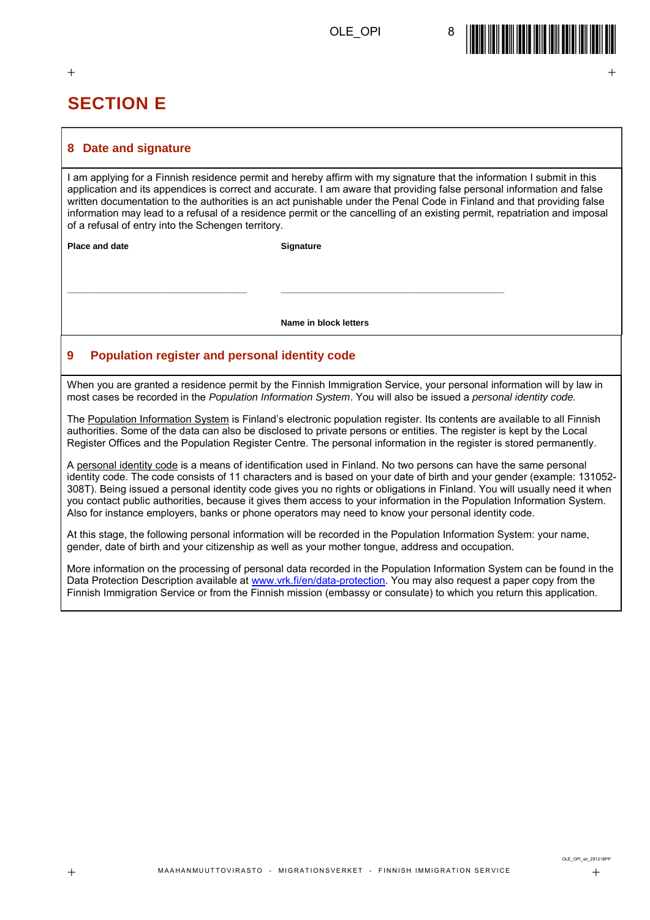

#### $+$  +  $+$  +  $+$  +  $+$  +  $+$  +  $+$  +  $+$  +  $+$  +  $+$  +  $+$  +  $+$  +  $+$  +  $+$  +  $+$  +  $+$  +  $+$  +  $+$  +  $+$  +  $+$  +  $+$  +  $+$  +  $+$  +  $+$  +  $+$  +  $+$  +  $+$  +  $+$  +  $+$  +  $+$  +  $+$  +  $+$  +  $+$  +  $+$  +  $+$  +  $+$  +  $+$  +  $+$  +

### **SECTION E**

#### **8 Date and signature**

I am applying for a Finnish residence permit and hereby affirm with my signature that the information I submit in this application and its appendices is correct and accurate. I am aware that providing false personal information and false written documentation to the authorities is an act punishable under the Penal Code in Finland and that providing false information may lead to a refusal of a residence permit or the cancelling of an existing permit, repatriation and imposal of a refusal of entry into the Schengen territory.

**Place and date Signature** 

**\_\_\_\_\_\_\_\_\_\_\_\_\_\_\_\_\_\_\_\_\_\_\_\_\_\_\_\_\_\_\_\_\_\_\_\_\_ \_\_\_\_\_\_\_\_\_\_\_\_\_\_\_\_\_\_\_\_\_\_\_\_\_\_\_\_\_\_\_\_\_\_\_\_\_\_\_\_\_\_\_\_\_\_**

**Name in block letters**

#### **9 Population register and personal identity code**

When you are granted a residence permit by the Finnish Immigration Service, your personal information will by law in most cases be recorded in the *Population Information System*. You will also be issued a *personal identity code.*

The Population Information System is Finland's electronic population register. Its contents are available to all Finnish authorities. Some of the data can also be disclosed to private persons or entities. The register is kept by the Local Register Offices and the Population Register Centre. The personal information in the register is stored permanently.

A personal identity code is a means of identification used in Finland. No two persons can have the same personal identity code. The code consists of 11 characters and is based on your date of birth and your gender (example: 131052- 308T). Being issued a personal identity code gives you no rights or obligations in Finland. You will usually need it when you contact public authorities, because it gives them access to your information in the Population Information System. Also for instance employers, banks or phone operators may need to know your personal identity code.

At this stage, the following personal information will be recorded in the Population Information System: your name, gender, date of birth and your citizenship as well as your mother tongue, address and occupation.

More information on the processing of personal data recorded in the Population Information System can be found in the Data Protection Description available at [www.vrk.fi/en/data-protection.](file:///C:/Users/p25084/AppData/Local/Microsoft/Windows/Temporary%20Internet%20Files/Content.Outlook/G6M1D8P2/www.vrk.fi/en/data-protection) You may also request a paper copy from the Finnish Immigration Service or from the Finnish mission (embassy or consulate) to which you return this application.